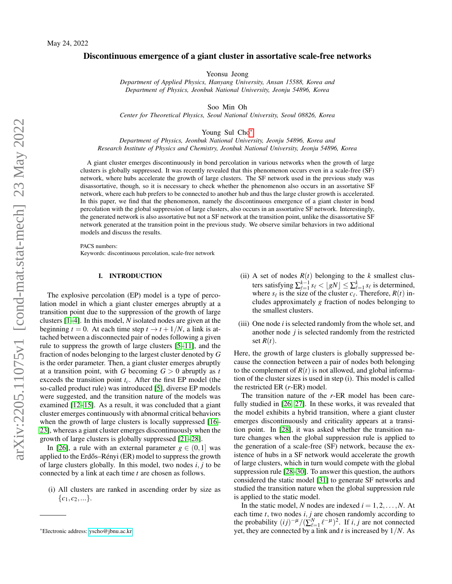# Discontinuous emergence of a giant cluster in assortative scale-free networks

Yeonsu Jeong

*Department of Applied Physics, Hanyang University, Ansan 15588, Korea and Department of Physics, Jeonbuk National University, Jeonju 54896, Korea*

Soo Min Oh

*Center for Theoretical Physics, Seoul National University, Seoul 08826, Korea*

Young Sul Cho[∗](#page-0-0)

*Department of Physics, Jeonbuk National University, Jeonju 54896, Korea and Research Institute of Physics and Chemistry, Jeonbuk National University, Jeonju 54896, Korea*

A giant cluster emerges discontinuously in bond percolation in various networks when the growth of large clusters is globally suppressed. It was recently revealed that this phenomenon occurs even in a scale-free (SF) network, where hubs accelerate the growth of large clusters. The SF network used in the previous study was disassortative, though, so it is necessary to check whether the phenomenon also occurs in an assortative SF network, where each hub prefers to be connected to another hub and thus the large cluster growth is accelerated. In this paper, we find that the phenomenon, namely the discontinuous emergence of a giant cluster in bond percolation with the global suppression of large clusters, also occurs in an assortative SF network. Interestingly, the generated network is also assortative but not a SF network at the transition point, unlike the disassortative SF network generated at the transition point in the previous study. We observe similar behaviors in two additional models and discuss the results.

PACS numbers: Keywords: discontinuous percolation, scale-free network

### <span id="page-0-1"></span>I. INTRODUCTION

The explosive percolation (EP) model is a type of percolation model in which a giant cluster emerges abruptly at a transition point due to the suppression of the growth of large clusters [\[1–](#page-5-0)[4\]](#page-5-1). In this model, *N* isolated nodes are given at the beginning  $t = 0$ . At each time step  $t \rightarrow t + 1/N$ , a link is attached between a disconnected pair of nodes following a given rule to suppress the growth of large clusters [\[5–](#page-5-2)[11\]](#page-5-3), and the fraction of nodes belonging to the largest cluster denoted by *G* is the order parameter. Then, a giant cluster emerges abruptly at a transition point, with *G* becoming *G* > 0 abruptly as *t* exceeds the transition point *tc*. After the first EP model (the so-called product rule) was introduced [\[5\]](#page-5-2), diverse EP models were suggested, and the transition nature of the models was examined [\[12–](#page-5-4)[15\]](#page-5-5). As a result, it was concluded that a giant cluster emerges continuously with abnormal critical behaviors when the growth of large clusters is locally suppressed [\[16–](#page-5-6) [23\]](#page-5-7), whereas a giant cluster emerges discontinuously when the growth of large clusters is globally suppressed [\[21](#page-5-8)[–28\]](#page-5-9).

In [\[26\]](#page-5-10), a rule with an external parameter  $g \in (0,1]$  was applied to the Erdős–Rényi  $(ER)$  model to suppress the growth of large clusters globally. In this model, two nodes *i*, *j* to be connected by a link at each time *t* are chosen as follows.

(i) All clusters are ranked in ascending order by size as  $\{c_1, c_2, ...\}.$ 

- (ii) A set of nodes  $R(t)$  belonging to the *k* smallest clusters satisfying  $\sum_{\ell=1}^{k-1} s_{\ell} < \lfloor gN \rfloor \leq \sum_{\ell=1}^{k} s_{\ell}$  is determined, where  $s_\ell$  is the size of the cluster  $c_\ell$ . Therefore,  $R(t)$  includes approximately *g* fraction of nodes belonging to the smallest clusters.
- (iii) One node *i* is selected randomly from the whole set, and another node *j* is selected randomly from the restricted set  $R(t)$ .

Here, the growth of large clusters is globally suppressed because the connection between a pair of nodes both belonging to the complement of  $R(t)$  is not allowed, and global information of the cluster sizes is used in step (i). This model is called the restricted ER (*r*-ER) model.

The transition nature of the *r*-ER model has been carefully studied in [\[26,](#page-5-10) [27\]](#page-5-11). In these works, it was revealed that the model exhibits a hybrid transition, where a giant cluster emerges discontinuously and criticality appears at a transition point. In [\[28\]](#page-5-9), it was asked whether the transition nature changes when the global suppression rule is applied to the generation of a scale-free (SF) network, because the existence of hubs in a SF network would accelerate the growth of large clusters, which in turn would compete with the global suppression rule [\[28](#page-5-9)[–30\]](#page-5-12). To answer this question, the authors considered the static model [\[31\]](#page-5-13) to generate SF networks and studied the transition nature when the global suppression rule is applied to the static model.

In the static model, *N* nodes are indexed  $i = 1, 2, \ldots, N$ . At each time *t*, two nodes *i*, *j* are chosen randomly according to the probability  $(ij)^{-\mu}/(\sum_{\ell=1}^{N} \ell^{-\mu})^2$ . If *i*, *j* are not connected yet, they are connected by a link and *t* is increased by 1/*N*. As

<span id="page-0-0"></span><sup>∗</sup>Electronic address: [yscho@jbnu.ac.kr](mailto:yscho@jbnu.ac.kr)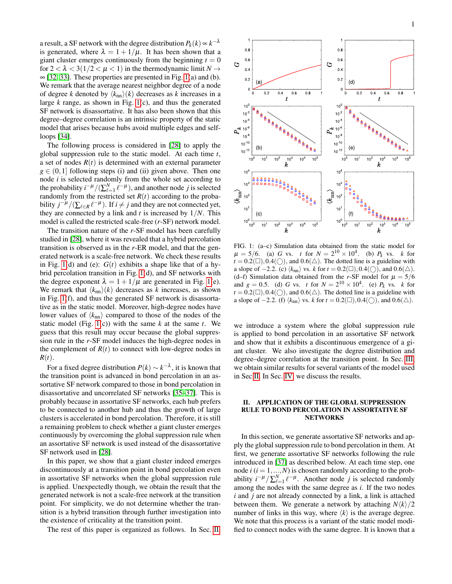a result, a SF network with the degree distribution  $P_k(k) \propto k^{-\lambda}$ is generated, where  $\lambda = 1 + 1/\mu$ . It has been shown that a giant cluster emerges continuously from the beginning  $t = 0$ for  $2 < \lambda < 3(1/2 < \mu < 1)$  in the thermodynamic limit  $N \rightarrow$  $\infty$  [\[32,](#page-5-14) [33\]](#page-5-15). These properties are presented in Fig. [1\(](#page-1-0)a) and (b). We remark that the average nearest neighbor degree of a node of degree *k* denoted by  $\langle k_{nn} \rangle(k)$  decreases as *k* increases in a large *k* range, as shown in Fig. [1\(](#page-1-0)c), and thus the generated SF network is disassortative. It has also been shown that this degree–degree correlation is an intrinsic property of the static model that arises because hubs avoid multiple edges and selfloops [\[34\]](#page-5-16).

The following process is considered in [\[28\]](#page-5-9) to apply the global suppression rule to the static model. At each time *t*, a set of nodes  $R(t)$  is determined with an external parameter  $g \in (0,1]$  following steps (i) and (ii) given above. Then one node *i* is selected randomly from the whole set according to the probability  $i^{-\mu}/(\sum_{\ell=1}^N \ell^{-\mu})$ , and another node *j* is selected randomly from the restricted set  $R(t)$  according to the probability  $j^{-\mu}/(\sum_{\ell \in R} \ell^{-\mu})$ . If *i*  $\neq j$  and they are not connected yet, they are connected by a link and  $t$  is increased by  $1/N$ . This model is called the restricted scale-free (*r*-SF) network model.

The transition nature of the *r*-SF model has been carefully studied in [\[28\]](#page-5-9), where it was revealed that a hybrid percolation transition is observed as in the *r*-ER model, and that the generated network is a scale-free network. We check these results in Fig. [1\(](#page-1-0)d) and (e):  $G(t)$  exhibits a shape like that of a hybrid percolation transition in Fig. [1\(](#page-1-0)d), and SF networks with the degree exponent  $\lambda = 1 + 1/\mu$  are generated in Fig. [1\(](#page-1-0)e). We remark that  $\langle k_{nn} \rangle(k)$  decreases as *k* increases, as shown in Fig. [1\(](#page-1-0)f), and thus the generated SF network is disassortative as in the static model. Moreover, high-degree nodes have lower values of  $\langle k_{nn} \rangle$  compared to those of the nodes of the static model (Fig. [1\(](#page-1-0)c)) with the same *k* at the same *t*. We guess that this result may occur because the global suppression rule in the *r*-SF model induces the high-degree nodes in the complement of  $R(t)$  to connect with low-degree nodes in *R*(*t*).

For a fixed degree distribution  $P(k) \sim k^{-\lambda}$ , it is known that the transition point is advanced in bond percolation in an assortative SF network compared to those in bond percolation in disassortative and uncorrelated SF networks [\[35–](#page-5-17)[37\]](#page-5-18). This is probably because in assortative SF networks, each hub prefers to be connected to another hub and thus the growth of large clusters is accelerated in bond percolation. Therefore, it is still a remaining problem to check whether a giant cluster emerges continuously by overcoming the global suppression rule when an assortative SF network is used instead of the disassortative SF network used in [\[28\]](#page-5-9).

In this paper, we show that a giant cluster indeed emerges discontinuously at a transition point in bond percolation even in assortative SF networks when the global suppression rule is applied. Unexpectedly though, we obtain the result that the generated network is not a scale-free network at the transition point. For simplicity, we do not determine whether the transition is a hybrid transition through further investigation into the existence of criticality at the transition point.

The rest of this paper is organized as follows. In Sec. [II,](#page-1-1)



<span id="page-1-0"></span>FIG. 1: (a–c) Simulation data obtained from the static model for  $\mu = 5/6$ . (a) *G* vs. *t* for  $N = 2^{10} \times 10^4$ . (b) *P<sub>k</sub>* vs. *k* for  $t = 0.2(\square), 0.4(\square)$ , and  $0.6(\triangle)$ . The dotted line is a guideline with a slope of  $-2.2$ . (c)  $\langle k_{nn} \rangle$  vs. *k* for *t* = 0.2(□), 0.4(○), and 0.6(△). (d–f) Simulation data obtained from the *r*-SF model for  $\mu = 5/6$ and *g* = 0.5. (d) *G* vs. *t* for  $N = 2^{10} \times 10^4$ . (e)  $P_k$  vs. *k* for  $t = 0.2(\square), 0.4(\square)$ , and  $0.6(\triangle)$ . The dotted line is a guideline with a slope of  $-2.2$ . (f)  $\langle k_{nn} \rangle$  vs. *k* for *t* = 0.2(□), 0.4(○), and 0.6(△).

we introduce a system where the global suppression rule is applied to bond percolation in an assortative SF network and show that it exhibits a discontinuous emergence of a giant cluster. We also investigate the degree distribution and degree–degree correlation at the transition point. In Sec. [III,](#page-3-0) we obtain similar results for several variants of the model used in Sec [II.](#page-1-1) In Sec. [IV,](#page-4-0) we discuss the results.

## <span id="page-1-1"></span>II. APPLICATION OF THE GLOBAL SUPPRESSION RULE TO BOND PERCOLATION IN ASSORTATIVE SF **NETWORKS**

In this section, we generate assortative SF networks and apply the global suppression rule to bond percolation in them. At first, we generate assortative SF networks following the rule introduced in [\[37\]](#page-5-18) as described below. At each time step, one node  $i$  ( $i = 1, ..., N$ ) is chosen randomly according to the probability  $i^{-\mu}/\sum_{\ell=1}^{N} \ell^{-\mu}$ . Another node *j* is selected randomly among the nodes with the same degree as *i*. If the two nodes *i* and *j* are not already connected by a link, a link is attached between them. We generate a network by attaching  $N\langle k \rangle/2$ number of links in this way, where  $\langle k \rangle$  is the average degree. We note that this process is a variant of the static model modified to connect nodes with the same degree. It is known that a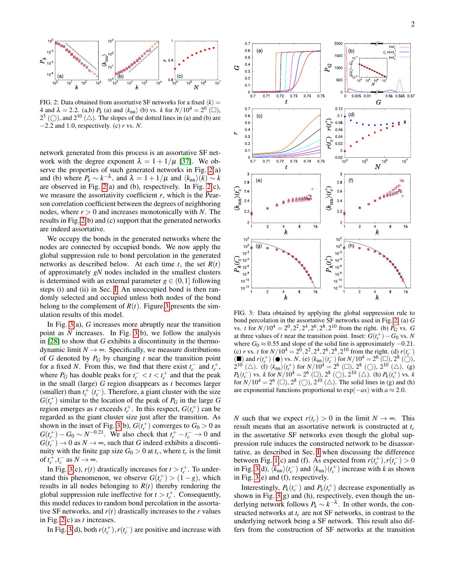

<span id="page-2-0"></span>FIG. 2: Data obtained from assortative SF networks for a fixed  $\langle k \rangle$  = 4 and  $\lambda = 2.2$ . (a,b)  $P_k$  (a) and  $\langle k_{nn} \rangle$  (b) vs. *k* for  $N/10^4 = 2^0$  ( $\square$ ),  $2^5$  ( $\bigcirc$ ), and  $2^{10}$  ( $\triangle$ ). The slopes of the dotted lines in (a) and (b) are −2.2 and 1.0, respectively. (c) *r* vs. *N*.

network generated from this process is an assortative SF network with the degree exponent  $\lambda = 1 + 1/\mu$  [\[37\]](#page-5-18). We observe the properties of such generated networks in Fig. [2\(](#page-2-0)a) and (b) where  $P_k \sim k^{-\lambda}$ , and  $\lambda = 1 + 1/\mu$  and  $\langle k_{nn} \rangle \langle k \rangle \sim k$ are observed in Fig. [2\(](#page-2-0)a) and (b), respectively. In Fig. [2\(](#page-2-0)c), we measure the assortativity coefficient *r*, which is the Pearson correlation coefficient between the degrees of neighboring nodes, where  $r > 0$  and increases monotonically with *N*. The results in Fig. [2\(](#page-2-0)b) and (c) support that the generated networks are indeed assortative.

We occupy the bonds in the generated networks where the nodes are connected by occupied bonds. We now apply the global suppression rule to bond percolation in the generated networks as described below. At each time  $t$ , the set  $R(t)$ of approximately *gN* nodes included in the smallest clusters is determined with an external parameter  $g \in (0,1]$  following steps (i) and (ii) in Sec. [I.](#page-0-1) An unoccupied bond is then randomly selected and occupied unless both nodes of the bond belong to the complement of  $R(t)$ . Figure [3](#page-2-1) presents the simulation results of this model.

In Fig. [3\(](#page-2-1)a), *G* increases more abruptly near the transition point as *N* increases. In Fig. [3\(](#page-2-1)b), we follow the analysis in [\[28\]](#page-5-9) to show that *G* exhibits a discontinuity in the thermodynamic limit  $N \rightarrow \infty$ . Specifically, we measure distributions of *G* denoted by  $P_G$  by changing  $t$  near the transition point for a fixed *N*. From this, we find that there exist  $t_c^-$  and  $t_c^+$ , where  $P_G$  has double peaks for  $t_c^- < t < t_c^+$  and that the peak in the small (large) *G* region disappears as *t* becomes larger (smaller) than  $t_c^+$  ( $t_c^-$ ). Therefore, a giant cluster with the size  $G(t_c^+)$  similar to the location of the peak of  $P_G$  in the large  $G$ region emerges as *t* exceeds  $t_c^+$ . In this respect,  $G(t_c^+)$  can be regarded as the giant cluster size just after the transition. As shown in the inset of Fig. [3\(](#page-2-1)b),  $G(t_c^+)$  converges to  $G_0 > 0$  as  $G(t_c^+) - G_0 \sim N^{-0.21}$ . We also check that  $t_c^+ - t_c^- \to 0$  and  $G(t_c^-) \to 0$  as  $N \to \infty$ , such that *G* indeed exhibits a discontinuity with the finite gap size  $G_0 > 0$  at  $t_c$ , where  $t_c$  is the limit of  $t_c^+, t_c^-$  as  $N \to \infty$ .

In Fig. [3\(](#page-2-1)c),  $r(t)$  drastically increases for  $t > t_c^+$ . To understand this phenomenon, we observe  $G(t_c^+) > (1 - g)$ , which results in all nodes belonging to  $R(t)$  thereby rendering the global suppression rule ineffective for  $t > t_c^+$ . Consequently, this model reduces to random bond percolation in the assortative SF networks, and  $r(t)$  drastically increases to the  $r$  values in Fig. [2\(](#page-2-0)c) as *t* increases.

In Fig. [3\(](#page-2-1)d), both  $r(t_c^+)$ ,  $r(t_c^-)$  are positive and increase with



<span id="page-2-1"></span>FIG. 3: Data obtained by applying the global suppression rule to bond percolation in the assortative SF networks used in Fig. [2.](#page-2-0) (a) *G* vs. *t* for  $N/10^4 = 2^0, 2^2, 2^4, 2^6, 2^8, 2^{10}$  from the right. (b)  $P_G$  vs. *G* at three values of *t* near the transition point. Inset:  $G(t_c^+) - G_0$  vs. *N* where  $G_0 \approx 0.55$  and slope of the solid line is approximately  $-0.21$ . (c) *r* vs. *t* for  $N/10^4 = 2^{\overline{0}}$ ,  $2^2$ ,  $2^4$ ,  $2^6$ ,  $2^8$ ,  $2^{10}$  from the right. (d)  $r(t_c^-)$ (■) and  $r(t_c^+)$  (●) vs. *N*. (e)  $\langle k_{\text{nn}} \rangle (t_c^-)$  for  $N/10^4 = 2^6$  (□),  $2^8$  (○),  $2^{10}$  ( $\triangle$ ). (f)  $\langle k_{\rm nn} \rangle (t_c^+)$  for  $N/10^4 = 2^6$  ( $\Box$ ),  $2^8$  ( $\bigcirc$ ),  $2^{10}$  ( $\triangle$ ). (g)  $P_k(t_c^-)$  vs. *k* for  $N/10^4 = 2^6$  (□),  $2^8$  (○),  $2^{10}$  (△). (h)  $P_k(t_c^+)$  vs. *k* for  $N/10^4 = 2^6$  ( $\Box$ ),  $2^8$  ( $\bigcirc$ ),  $2^{10}$  ( $\triangle$ ). The solid lines in (g) and (h) are exponential functions proportional to  $\exp(-ax)$  with  $a \approx 2.0$ .

*N* such that we expect  $r(t_c) > 0$  in the limit  $N \to \infty$ . This result means that an assortative network is constructed at *t<sup>c</sup>* in the assortative SF networks even though the global suppression rule induces the constructed network to be disassortative, as described in Sec. [I](#page-0-1) when discussing the difference between Fig. [1\(](#page-1-0)c) and (f). As expected from  $r(t_c^+), r(t_c^-) > 0$ in Fig. [3\(](#page-2-1)d),  $\langle k_{nn} \rangle (t_c^-)$  and  $\langle k_{nn} \rangle (t_c^+)$  increase with *k* as shown in Fig. [3\(](#page-2-1)e) and (f), respectively.

Interestingly,  $P_k(t_c^-)$  and  $P_k(t_c^+)$  decrease exponentially as shown in Fig. [3\(](#page-2-1)g) and (h), respectively, even though the underlying network follows  $P_k \sim k^{-\lambda}$ . In other words, the constructed networks at *t<sup>c</sup>* are not SF networks, in contrast to the underlying network being a SF network. This result also differs from the construction of SF networks at the transition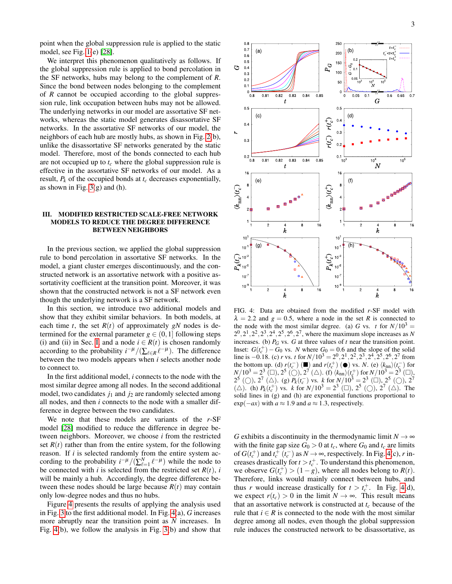point when the global suppression rule is applied to the static model, see Fig. [1\(](#page-1-0)e) [\[28\]](#page-5-9).

We interpret this phenomenon qualitatively as follows. If the global suppression rule is applied to bond percolation in the SF networks, hubs may belong to the complement of *R*. Since the bond between nodes belonging to the complement of *R* cannot be occupied according to the global suppression rule, link occupation between hubs may not be allowed. The underlying networks in our model are assortative SF networks, whereas the static model generates disassortative SF networks. In the assortative SF networks of our model, the neighbors of each hub are mostly hubs, as shown in Fig. [2\(](#page-2-0)b), unlike the disassortative SF networks generated by the static model. Therefore, most of the bonds connected to each hub are not occupied up to *t<sup>c</sup>* where the global suppression rule is effective in the assortative SF networks of our model. As a result,  $P_k$  of the occupied bonds at  $t_c$  decreases exponentially, as shown in Fig.  $3(g)$  and (h).

## <span id="page-3-0"></span>III. MODIFIED RESTRICTED SCALE-FREE NETWORK MODELS TO REDUCE THE DEGREE DIFFERENCE BETWEEN NEIGHBORS

In the previous section, we applied the global suppression rule to bond percolation in assortative SF networks. In the model, a giant cluster emerges discontinuously, and the constructed network is an assortative network with a positive assortativity coefficient at the transition point. Moreover, it was shown that the constructed network is not a SF network even though the underlying network is a SF network.

In this section, we introduce two additional models and show that they exhibit similar behaviors. In both models, at each time *t*, the set  $R(t)$  of approximately *gN* nodes is determined for the external parameter  $g \in (0,1]$  following steps (i) and (ii) in Sec. [I,](#page-0-1) and a node  $i \in R(t)$  is chosen randomly according to the probability  $i^{-\mu}/(\sum_{\ell \in R} \ell^{-\mu})$ . The difference between the two models appears when *i* selects another node to connect to.

In the first additional model, *i* connects to the node with the most similar degree among all nodes. In the second additional model, two candidates  $j_1$  and  $j_2$  are randomly selected among all nodes, and then *i* connects to the node with a smaller difference in degree between the two candidates.

We note that these models are variants of the *r*-SF model [\[28\]](#page-5-9) modified to reduce the difference in degree between neighbors. Moreover, we choose *i* from the restricted set  $R(t)$  rather than from the entire system, for the following reason. If *i* is selected randomly from the entire system according to the probability  $i^{-\mu}/(\sum_{\ell=1}^{N} \ell^{-\mu})$  while the node to be connected with *i* is selected from the restricted set  $R(t)$ , *i* will be mainly a hub. Accordingly, the degree difference between these nodes should be large because  $R(t)$  may contain only low-degree nodes and thus no hubs.

Figure [4](#page-3-1) presents the results of applying the analysis used in Fig. [3](#page-2-1) to the first additional model. In Fig. [4\(](#page-3-1)a), *G* increases more abruptly near the transition point as *N* increases. In Fig. [4\(](#page-3-1)b), we follow the analysis in Fig. [3\(](#page-2-1)b) and show that



<span id="page-3-1"></span>FIG. 4: Data are obtained from the modified *r*-SF model with  $\lambda = 2.2$  and  $g = 0.5$ , where a node in the set R is connected to the node with the most similar degree. (a) *G* vs. *t* for  $N/10^3$  =  $2^0$ ,  $2^1$ ,  $2^2$ ,  $2^3$ ,  $2^4$ ,  $2^5$ ,  $2^6$ ,  $2^7$ , where the maximum slope increases as *N* increases. (b)  $P_G$  vs. *G* at three values of *t* near the transition point. Inset:  $G(t_c^+) - G_0$  vs. *N* where  $G_0 = 0.6$  and the slope of the solid line is  $-0.18$ . (c) *r* vs. *t* for  $N/10^3 = 2^0, 2^1, 2^2, 2^3, 2^4, 2^5, 2^6, 2^7$  from the bottom up. (d)  $r(t_c^-)$  (■) and  $r(t_c^+)$  (●) vs. *N*. (e)  $\langle k_{nn} \rangle (t_c^-)$  for  $N/10^3 = 2^3$  ( $\square$ ),  $2^5$  ( $\square$ ),  $2^7$  ( $\triangle$ ). (f)  $\langle k_{nn} \rangle (t_c^+)$  for  $N/10^3 = 2^3$  ( $\square$ ), 2<sup>5</sup> (○), 2<sup>7</sup> (△). (g)  $P_k(t_c^-)$  vs. *k* for  $N/10^3 = 2^3$  (□), 2<sup>5</sup> (○), 2<sup>7</sup> ( $\triangle$ ). (h)  $P_k(t_c^+)$  vs. *k* for  $N/10^3 = 2^3$  ( $\Box$ ),  $2^5$  ( $\Diamond$ ),  $2^7$  ( $\triangle$ ). The solid lines in (g) and (h) are exponential functions proportional to  $\exp(-ax)$  with  $a \approx 1.9$  and  $a \approx 1.3$ , respectively.

*G* exhibits a discontinuity in the thermodynamic limit  $N \rightarrow \infty$ with the finite gap size  $G_0 > 0$  at  $t_c$ , where  $G_0$  and  $t_c$  are limits of  $G(t_c^+)$  and  $t_c^+$   $(t_c^-)$  as  $N \to \infty$ , respectively. In Fig. [4\(](#page-3-1)c), *r* increases drastically for  $t > t_c^+$ . To understand this phenomenon, we observe  $G(t_c^+) > (1 - g)$ , where all nodes belong to  $R(t)$ . Therefore, links would mainly connect between hubs, and thus *r* would increase drastically for  $t > t_c^+$ . In Fig. [4\(](#page-3-1)d), we expect  $r(t_c) > 0$  in the limit  $N \to \infty$ . This result means that an assortative network is constructed at *t<sup>c</sup>* because of the rule that  $i \in R$  is connected to the node with the most similar degree among all nodes, even though the global suppression rule induces the constructed network to be disassortative, as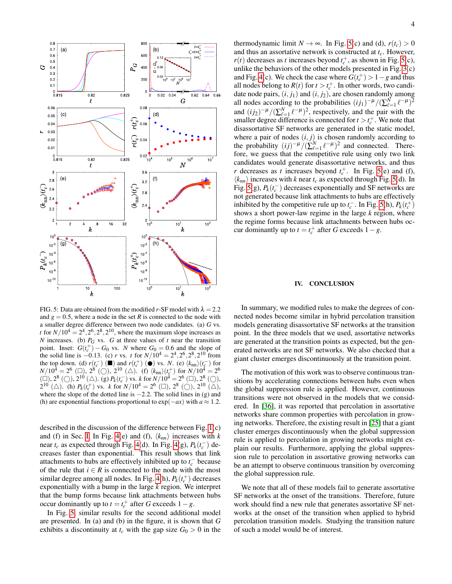

<span id="page-4-1"></span>FIG. 5: Data are obtained from the modified *r*-SF model with  $\lambda = 2.2$ and  $g = 0.5$ , where a node in the set *R* is connected to the node with a smaller degree difference between two node candidates. (a) *G* vs. *t* for  $N/10^4 = 2^4$ ,  $2^6$ ,  $2^8$ ,  $2^{10}$ , where the maximum slope increases as *N* increases. (b)  $P_G$  vs. *G* at three values of *t* near the transition point. Inset:  $G(t_c^+) - G_0$  vs. *N* where  $G_0 = 0.6$  and the slope of the solid line is  $-0.13$ . (c) *r* vs. *t* for  $N/10^4 = 2^4, 2^6, 2^8, 2^{10}$  from the top down. (d)  $r(t_c^-)$  (■) and  $r(t_c^+)$  (●) vs. *N*. (e)  $\langle k_{nn} \rangle (t_c^-)$  for  $N/10^4 = 2^6$  ( $\Box$ ),  $2^8$  ( $\bigcirc$ ),  $2^{10}$  ( $\triangle$ ). (f)  $\langle k_{\rm nn} \rangle (t_c^+)$  for  $N/10^4 = 2^6$ (□),  $2^8$  (○),  $2^{10}$  (△). (g)  $P_k(t_c^-)$  vs. *k* for  $N/10^4 = 2^6$  (□),  $2^8$  (○),  $2^{10}$  ( $\triangle$ ). (h)  $P_k(t_c^+)$  vs. *k* for  $N/10^4 = 2^6$  ( $\Box$ ),  $2^8$  ( $\bigcirc$ ),  $2^{10}$  ( $\triangle$ ), where the slope of the dotted line is  $-2.2$ . The solid lines in (g) and (h) are exponential functions proportional to  $\exp(-ax)$  with  $a \approx 1.2$ .

described in the discussion of the difference between Fig. [1\(](#page-1-0)c) and (f) in Sec. [I.](#page-0-1) In Fig. [4\(](#page-3-1)e) and (f),  $\langle k_{nn} \rangle$  increases with *k* near  $t_c$  as expected through Fig. [4\(](#page-3-1)d). In Fig. 4(g),  $P_k(t_c^-)$  decreases faster than exponential. This result shows that link attachments to hubs are effectively inhibited up to  $t_c^-$  because of the rule that  $i \in R$  is connected to the node with the most similar degree among all nodes. In Fig. [4\(](#page-3-1)h),  $P_k(t_c^+)$  decreases exponentially with a bump in the large *k* region. We interpret that the bump forms because link attachments between hubs occur dominantly up to  $t = t_c^+$  after *G* exceeds  $1 - g$ .

In Fig. [5,](#page-4-1) similar results for the second additional model are presented. In (a) and (b) in the figure, it is shown that *G* exhibits a discontinuity at  $t_c$  with the gap size  $G_0 > 0$  in the

thermodynamic limit  $N \to \infty$ . In Fig. [5\(](#page-4-1)c) and (d),  $r(t_c) > 0$ and thus an assortative network is constructed at *tc*. However,  $r(t)$  decreases as *t* increases beyond  $t_c^+$ , as shown in Fig. [5\(](#page-4-1)c), unlike the behaviors of the other models presented in Fig. [3\(](#page-2-1)c) and Fig. [4\(](#page-3-1)c). We check the case where  $G(t_c^+) > 1-g$  and thus all nodes belong to  $R(t)$  for  $t > t_c^+$ . In other words, two candidate node pairs,  $(i, j_1)$  and  $(i, j_2)$ , are chosen randomly among all nodes according to the probabilities  $(ij_1)^{-\mu}/(\sum_{\ell=1}^N \ell^{-\mu})^2$ and  $(ij_2)^{-\mu}/(\sum_{\ell=1}^N \ell^{-\mu})^2$ , respectively, and the pair with the smaller degree difference is connected for  $t > t_c^+$ . We note that disassortative SF networks are generated in the static model, where a pair of nodes  $(i, j)$  is chosen randomly according to the probability  $(ij)^{-\mu}/(\sum_{\ell=1}^{N} \ell^{-\mu})^2$  and connected. Therefore, we guess that the competitive rule using only two link candidates would generate disassortative networks, and thus *r* decreases as *t* increases beyond  $t_c^+$ . In Fig. [5\(](#page-4-1)e) and (f),  $\langle k_{nn} \rangle$  increases with *k* near  $t_c$  as expected through Fig. [5\(](#page-4-1)d). In Fig. [5\(](#page-4-1)g),  $P_k(t_c^-)$  decreases exponentially and SF networks are not generated because link attachments to hubs are effectively inhibited by the competitive rule up to  $t_c^-$ . In Fig. [5\(](#page-4-1)h),  $P_k(t_c^+)$ shows a short power-law regime in the large *k* region, where the regime forms because link attachments between hubs occur dominantly up to  $t = t_c^+$  after *G* exceeds  $1 - g$ .

#### <span id="page-4-0"></span>IV. CONCLUSION

In summary, we modified rules to make the degrees of connected nodes become similar in hybrid percolation transition models generating disassortative SF networks at the transition point. In the three models that we used, assortative networks are generated at the transition points as expected, but the generated networks are not SF networks. We also checked that a giant cluster emerges discontinuously at the transition point.

The motivation of this work was to observe continuous transitions by accelerating connections between hubs even when the global suppression rule is applied. However, continuous transitions were not observed in the models that we considered. In [\[36\]](#page-5-19), it was reported that percolation in assortative networks share common properties with percolation in growing networks. Therefore, the existing result in [\[25\]](#page-5-20) that a giant cluster emerges discontinuously when the global suppression rule is applied to percolation in growing networks might explain our results. Furthermore, applying the global suppression rule to percolation in assortative growing networks can be an attempt to observe continuous transition by overcoming the global suppression rule.

We note that all of these models fail to generate assortative SF networks at the onset of the transitions. Therefore, future work should find a new rule that generates assortative SF networks at the onset of the transition when applied to hybrid percolation transition models. Studying the transition nature of such a model would be of interest.